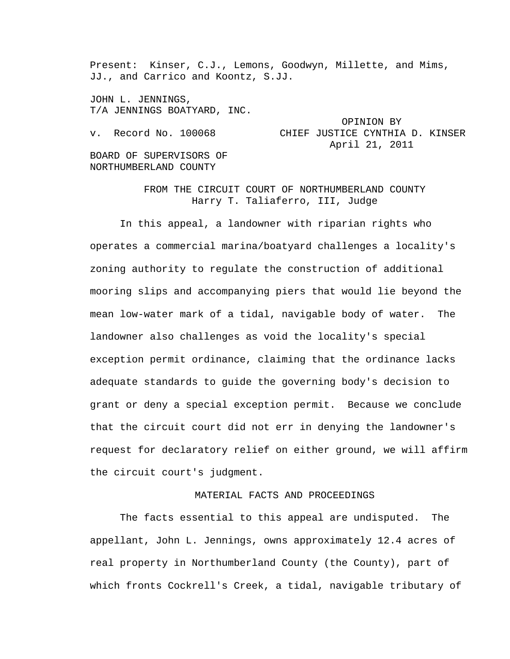Present: Kinser, C.J., Lemons, Goodwyn, Millette, and Mims, JJ., and Carrico and Koontz, S.JJ.

JOHN L. JENNINGS, T/A JENNINGS BOATYARD, INC.

 OPINION BY v. Record No. 100068 CHIEF JUSTICE CYNTHIA D. KINSER April 21, 2011 BOARD OF SUPERVISORS OF

NORTHUMBERLAND COUNTY

FROM THE CIRCUIT COURT OF NORTHUMBERLAND COUNTY Harry T. Taliaferro, III, Judge

In this appeal, a landowner with riparian rights who operates a commercial marina/boatyard challenges a locality's zoning authority to regulate the construction of additional mooring slips and accompanying piers that would lie beyond the mean low-water mark of a tidal, navigable body of water. The landowner also challenges as void the locality's special exception permit ordinance, claiming that the ordinance lacks adequate standards to guide the governing body's decision to grant or deny a special exception permit. Because we conclude that the circuit court did not err in denying the landowner's request for declaratory relief on either ground, we will affirm the circuit court's judgment.

# MATERIAL FACTS AND PROCEEDINGS

The facts essential to this appeal are undisputed. The appellant, John L. Jennings, owns approximately 12.4 acres of real property in Northumberland County (the County), part of which fronts Cockrell's Creek, a tidal, navigable tributary of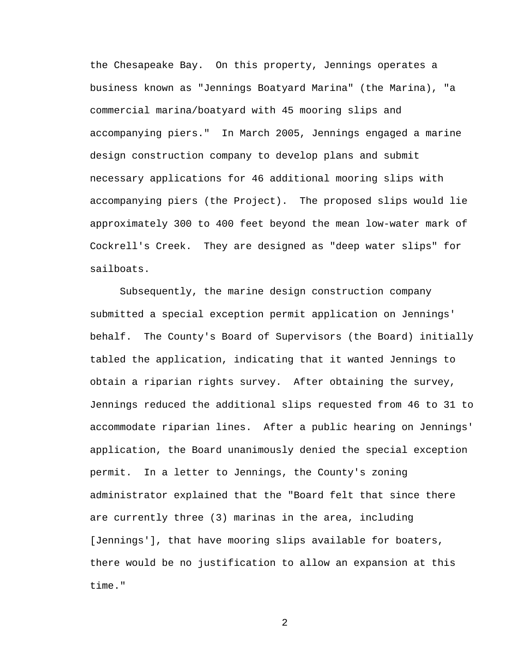the Chesapeake Bay. On this property, Jennings operates a business known as "Jennings Boatyard Marina" (the Marina), "a commercial marina/boatyard with 45 mooring slips and accompanying piers." In March 2005, Jennings engaged a marine design construction company to develop plans and submit necessary applications for 46 additional mooring slips with accompanying piers (the Project). The proposed slips would lie approximately 300 to 400 feet beyond the mean low-water mark of Cockrell's Creek. They are designed as "deep water slips" for sailboats.

Subsequently, the marine design construction company submitted a special exception permit application on Jennings' behalf. The County's Board of Supervisors (the Board) initially tabled the application, indicating that it wanted Jennings to obtain a riparian rights survey. After obtaining the survey, Jennings reduced the additional slips requested from 46 to 31 to accommodate riparian lines. After a public hearing on Jennings' application, the Board unanimously denied the special exception permit. In a letter to Jennings, the County's zoning administrator explained that the "Board felt that since there are currently three (3) marinas in the area, including [Jennings'], that have mooring slips available for boaters, there would be no justification to allow an expansion at this time."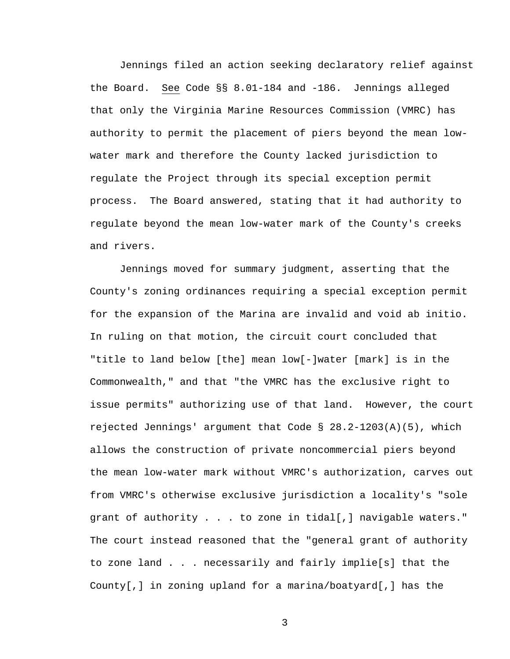Jennings filed an action seeking declaratory relief against the Board. See Code §§ 8.01-184 and -186. Jennings alleged that only the Virginia Marine Resources Commission (VMRC) has authority to permit the placement of piers beyond the mean lowwater mark and therefore the County lacked jurisdiction to regulate the Project through its special exception permit process. The Board answered, stating that it had authority to regulate beyond the mean low-water mark of the County's creeks and rivers.

Jennings moved for summary judgment, asserting that the County's zoning ordinances requiring a special exception permit for the expansion of the Marina are invalid and void ab initio. In ruling on that motion, the circuit court concluded that "title to land below [the] mean low[-]water [mark] is in the Commonwealth," and that "the VMRC has the exclusive right to issue permits" authorizing use of that land. However, the court rejected Jennings' argument that Code  $\S$  28.2-1203(A)(5), which allows the construction of private noncommercial piers beyond the mean low-water mark without VMRC's authorization, carves out from VMRC's otherwise exclusive jurisdiction a locality's "sole grant of authority . . . to zone in tidal[,] navigable waters." The court instead reasoned that the "general grant of authority to zone land . . . necessarily and fairly implie[s] that the County[,] in zoning upland for a marina/boatyard[,] has the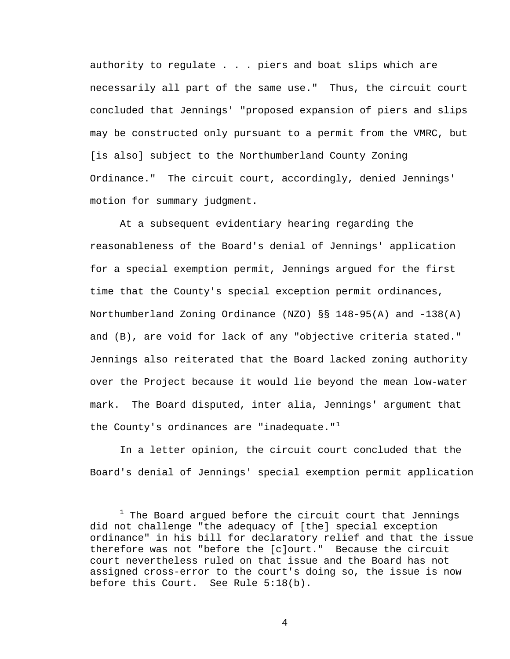authority to regulate . . . piers and boat slips which are necessarily all part of the same use." Thus, the circuit court concluded that Jennings' "proposed expansion of piers and slips may be constructed only pursuant to a permit from the VMRC, but [is also] subject to the Northumberland County Zoning Ordinance." The circuit court, accordingly, denied Jennings' motion for summary judgment.

At a subsequent evidentiary hearing regarding the reasonableness of the Board's denial of Jennings' application for a special exemption permit, Jennings argued for the first time that the County's special exception permit ordinances, Northumberland Zoning Ordinance (NZO) §§ 148-95(A) and -138(A) and (B), are void for lack of any "objective criteria stated." Jennings also reiterated that the Board lacked zoning authority over the Project because it would lie beyond the mean low-water mark. The Board disputed, inter alia, Jennings' argument that the County's ordinances are "inadequate." $1$ 

In a letter opinion, the circuit court concluded that the Board's denial of Jennings' special exemption permit application

<span id="page-3-0"></span><sup>&</sup>lt;u>1</u>  $1$  The Board argued before the circuit court that Jennings did not challenge "the adequacy of [the] special exception ordinance" in his bill for declaratory relief and that the issue therefore was not "before the [c]ourt." Because the circuit court nevertheless ruled on that issue and the Board has not assigned cross-error to the court's doing so, the issue is now before this Court. See Rule 5:18(b).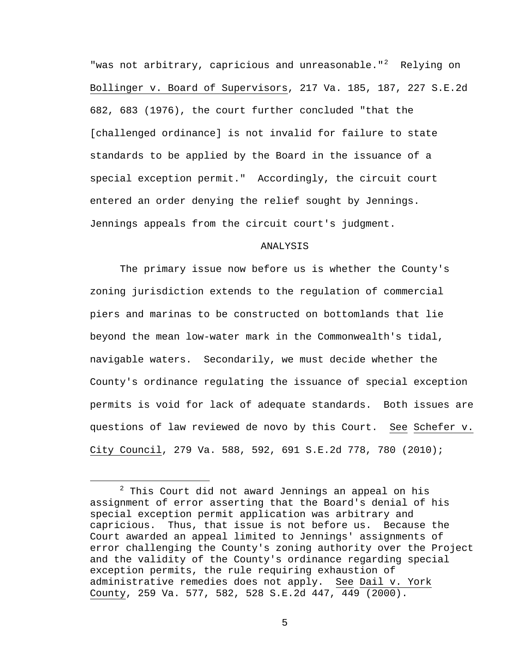"was not arbitrary, capricious and unreasonable." $2$  Relying on Bollinger v. Board of Supervisors, 217 Va. 185, 187, 227 S.E.2d 682, 683 (1976), the court further concluded "that the [challenged ordinance] is not invalid for failure to state standards to be applied by the Board in the issuance of a special exception permit." Accordingly, the circuit court entered an order denying the relief sought by Jennings. Jennings appeals from the circuit court's judgment.

## ANALYSIS

The primary issue now before us is whether the County's zoning jurisdiction extends to the regulation of commercial piers and marinas to be constructed on bottomlands that lie beyond the mean low-water mark in the Commonwealth's tidal, navigable waters. Secondarily, we must decide whether the County's ordinance regulating the issuance of special exception permits is void for lack of adequate standards. Both issues are questions of law reviewed de novo by this Court. See Schefer v. City Council, 279 Va. 588, 592, 691 S.E.2d 778, 780 (2010);

<span id="page-4-0"></span> <sup>2</sup>  $2$  This Court did not award Jennings an appeal on his assignment of error asserting that the Board's denial of his special exception permit application was arbitrary and capricious. Thus, that issue is not before us. Because the Court awarded an appeal limited to Jennings' assignments of error challenging the County's zoning authority over the Project and the validity of the County's ordinance regarding special exception permits, the rule requiring exhaustion of administrative remedies does not apply. See Dail v. York County, 259 Va. 577, 582, 528 S.E.2d 447, 449 (2000).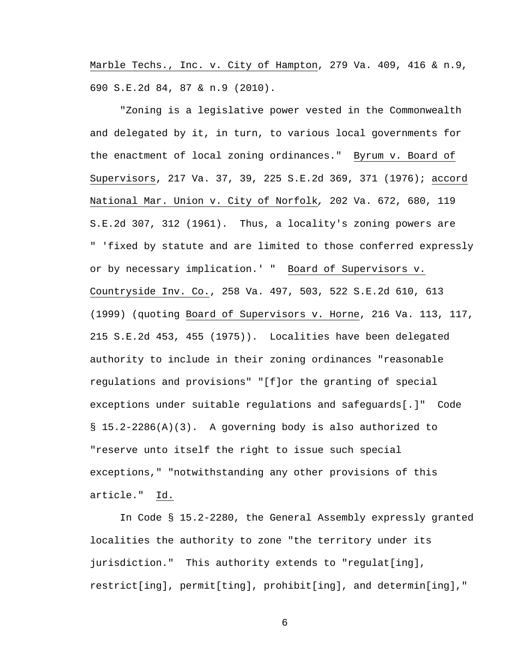Marble Techs., Inc. v. City of Hampton, 279 Va. 409, 416 & n.9, 690 S.E.2d 84, 87 & n.9 (2010).

"Zoning is a legislative power vested in the Commonwealth and delegated by it, in turn, to various local governments for the enactment of local zoning ordinances." Byrum v. Board of Supervisors, 217 Va. 37, 39, 225 S.E.2d 369, 371 (1976); accord National Mar. Union v. City of Norfolk*,* 202 Va. 672, 680, 119 S.E.2d 307, 312 (1961). Thus, a locality's zoning powers are " 'fixed by statute and are limited to those conferred expressly or by necessary implication.' " Board of Supervisors v. Countryside Inv. Co., 258 Va. 497, 503, 522 S.E.2d 610, 613 (1999) (quoting Board of Supervisors v. Horne, 216 Va. 113, 117, 215 S.E.2d 453, 455 (1975)). Localities have been delegated authority to include in their zoning ordinances "reasonable regulations and provisions" "[f]or the granting of special exceptions under suitable regulations and safeguards[.]" Code § 15.2-2286(A)(3). A governing body is also authorized to "reserve unto itself the right to issue such special exceptions," "notwithstanding any other provisions of this article." Id.

In Code § 15.2-2280, the General Assembly expressly granted localities the authority to zone "the territory under its jurisdiction." This authority extends to "regulat[ing], restrict[ing], permit[ting], prohibit[ing], and determin[ing],"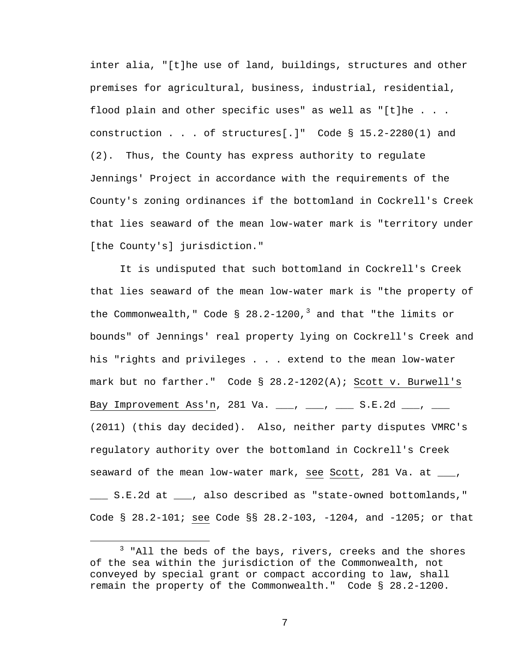inter alia, "[t]he use of land, buildings, structures and other premises for agricultural, business, industrial, residential, flood plain and other specific uses" as well as "[t]he . . . construction . . . of structures[.]" Code § 15.2-2280(1) and (2). Thus, the County has express authority to regulate Jennings' Project in accordance with the requirements of the County's zoning ordinances if the bottomland in Cockrell's Creek that lies seaward of the mean low-water mark is "territory under [the County's] jurisdiction."

It is undisputed that such bottomland in Cockrell's Creek that lies seaward of the mean low-water mark is "the property of the Commonwealth," Code § 28.2-1200,<sup>[3](#page-6-0)</sup> and that "the limits or bounds" of Jennings' real property lying on Cockrell's Creek and his "rights and privileges . . . extend to the mean low-water mark but no farther." Code § 28.2-1202(A); Scott v. Burwell's Bay Improvement Ass'n, 281 Va. \_\_\_, \_\_\_, \_\_\_ S.E.2d \_\_\_, \_\_\_ (2011) (this day decided). Also, neither party disputes VMRC's regulatory authority over the bottomland in Cockrell's Creek seaward of the mean low-water mark, see Scott, 281 Va. at  $\frac{1}{\sqrt{2}}$ , \_\_\_ S.E.2d at \_\_\_, also described as "state-owned bottomlands," Code § 28.2-101; see Code §§ 28.2-103, -1204, and -1205; or that

<span id="page-6-0"></span> $\overline{\phantom{a}}$  3  $3$  "All the beds of the bays, rivers, creeks and the shores of the sea within the jurisdiction of the Commonwealth, not conveyed by special grant or compact according to law, shall remain the property of the Commonwealth." Code § 28.2-1200.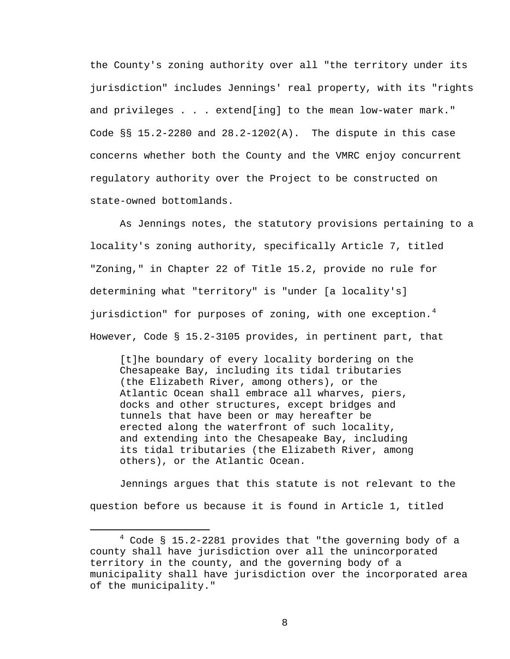the County's zoning authority over all "the territory under its jurisdiction" includes Jennings' real property, with its "rights and privileges . . . extend[ing] to the mean low-water mark." Code §§ 15.2-2280 and 28.2-1202(A). The dispute in this case concerns whether both the County and the VMRC enjoy concurrent regulatory authority over the Project to be constructed on state-owned bottomlands.

As Jennings notes, the statutory provisions pertaining to a locality's zoning authority, specifically Article 7, titled "Zoning," in Chapter 22 of Title 15.2, provide no rule for determining what "territory" is "under [a locality's] jurisdiction" for purposes of zoning, with one exception.<sup>[4](#page-7-0)</sup> However, Code § 15.2-3105 provides, in pertinent part, that

[t]he boundary of every locality bordering on the Chesapeake Bay, including its tidal tributaries (the Elizabeth River, among others), or the Atlantic Ocean shall embrace all wharves, piers, docks and other structures, except bridges and tunnels that have been or may hereafter be erected along the waterfront of such locality, and extending into the Chesapeake Bay, including its tidal tributaries (the Elizabeth River, among others), or the Atlantic Ocean.

Jennings argues that this statute is not relevant to the question before us because it is found in Article 1, titled

<span id="page-7-0"></span> $\overline{\phantom{a}}$  $4$  Code § 15.2-2281 provides that "the governing body of a county shall have jurisdiction over all the unincorporated territory in the county, and the governing body of a municipality shall have jurisdiction over the incorporated area of the municipality."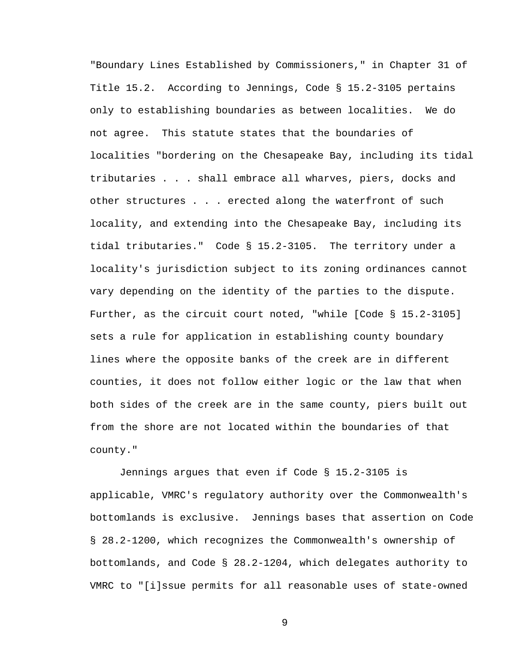"Boundary Lines Established by Commissioners," in Chapter 31 of Title 15.2. According to Jennings, Code § 15.2-3105 pertains only to establishing boundaries as between localities. We do not agree. This statute states that the boundaries of localities "bordering on the Chesapeake Bay, including its tidal tributaries . . . shall embrace all wharves, piers, docks and other structures . . . erected along the waterfront of such locality, and extending into the Chesapeake Bay, including its tidal tributaries." Code § 15.2-3105. The territory under a locality's jurisdiction subject to its zoning ordinances cannot vary depending on the identity of the parties to the dispute. Further, as the circuit court noted, "while [Code § 15.2-3105] sets a rule for application in establishing county boundary lines where the opposite banks of the creek are in different counties, it does not follow either logic or the law that when both sides of the creek are in the same county, piers built out from the shore are not located within the boundaries of that county."

Jennings argues that even if Code § 15.2-3105 is applicable, VMRC's regulatory authority over the Commonwealth's bottomlands is exclusive. Jennings bases that assertion on Code § 28.2-1200, which recognizes the Commonwealth's ownership of bottomlands, and Code § 28.2-1204, which delegates authority to VMRC to "[i]ssue permits for all reasonable uses of state-owned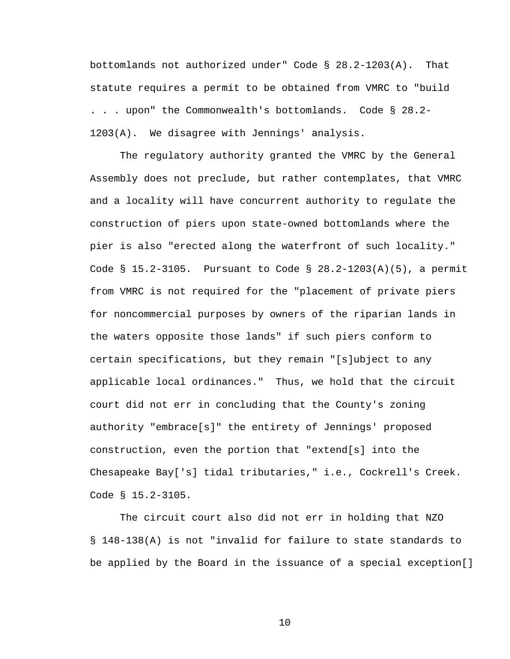bottomlands not authorized under" Code § 28.2-1203(A). That statute requires a permit to be obtained from VMRC to "build . . . upon" the Commonwealth's bottomlands. Code § 28.2- 1203(A). We disagree with Jennings' analysis.

The regulatory authority granted the VMRC by the General Assembly does not preclude, but rather contemplates, that VMRC and a locality will have concurrent authority to regulate the construction of piers upon state-owned bottomlands where the pier is also "erected along the waterfront of such locality." Code § 15.2-3105. Pursuant to Code § 28.2-1203(A)(5), a permit from VMRC is not required for the "placement of private piers for noncommercial purposes by owners of the riparian lands in the waters opposite those lands" if such piers conform to certain specifications, but they remain "[s]ubject to any applicable local ordinances." Thus, we hold that the circuit court did not err in concluding that the County's zoning authority "embrace[s]" the entirety of Jennings' proposed construction, even the portion that "extend[s] into the Chesapeake Bay['s] tidal tributaries," i.e., Cockrell's Creek. Code § 15.2-3105.

The circuit court also did not err in holding that NZO § 148-138(A) is not "invalid for failure to state standards to be applied by the Board in the issuance of a special exception[]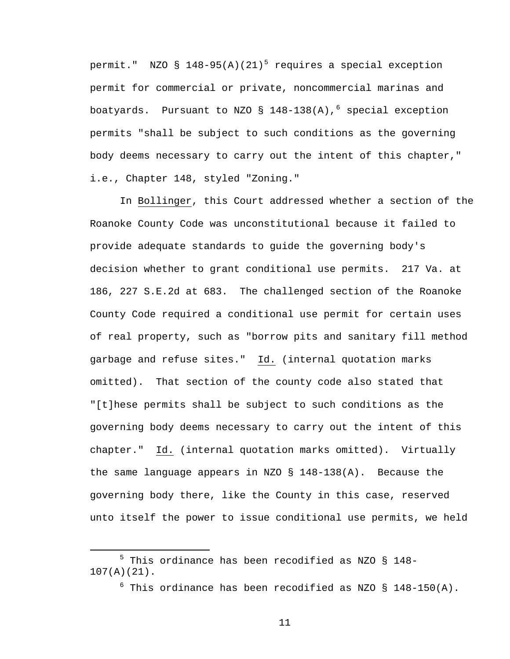permit." NZO §  $148-95(A)(21)^5$  $148-95(A)(21)^5$  $148-95(A)(21)^5$  requires a special exception permit for commercial or private, noncommercial marinas and boatyards. Pursuant to NZO § 148-138(A),  $6$  special exception permits "shall be subject to such conditions as the governing body deems necessary to carry out the intent of this chapter," i.e., Chapter 148, styled "Zoning."

In Bollinger, this Court addressed whether a section of the Roanoke County Code was unconstitutional because it failed to provide adequate standards to guide the governing body's decision whether to grant conditional use permits. 217 Va. at 186, 227 S.E.2d at 683. The challenged section of the Roanoke County Code required a conditional use permit for certain uses of real property, such as "borrow pits and sanitary fill method garbage and refuse sites." Id. (internal quotation marks omitted). That section of the county code also stated that "[t]hese permits shall be subject to such conditions as the governing body deems necessary to carry out the intent of this chapter." Id. (internal quotation marks omitted). Virtually the same language appears in NZO § 148-138(A). Because the governing body there, like the County in this case, reserved unto itself the power to issue conditional use permits, we held

<span id="page-10-1"></span><span id="page-10-0"></span> $\frac{1}{5}$  $5$  This ordinance has been recodified as NZO § 148-107(A)(21).

 $^6$  This ordinance has been recodified as NZO § 148-150(A).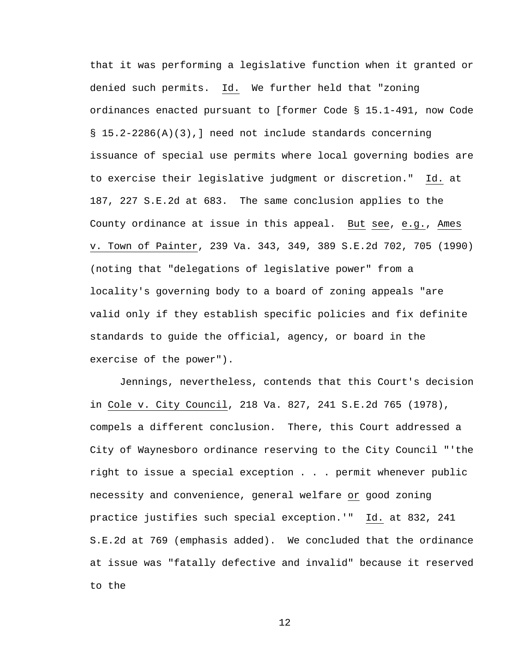that it was performing a legislative function when it granted or denied such permits. Id. We further held that "zoning ordinances enacted pursuant to [former Code § 15.1-491, now Code § 15.2-2286(A)(3),] need not include standards concerning issuance of special use permits where local governing bodies are to exercise their legislative judgment or discretion." Id. at 187, 227 S.E.2d at 683. The same conclusion applies to the County ordinance at issue in this appeal. But see, e.g., Ames v. Town of Painter, 239 Va. 343, 349, 389 S.E.2d 702, 705 (1990) (noting that "delegations of legislative power" from a locality's governing body to a board of zoning appeals "are valid only if they establish specific policies and fix definite standards to guide the official, agency, or board in the exercise of the power").

Jennings, nevertheless, contends that this Court's decision in Cole v. City Council, 218 Va. 827, 241 S.E.2d 765 (1978), compels a different conclusion. There, this Court addressed a City of Waynesboro ordinance reserving to the City Council "'the right to issue a special exception . . . permit whenever public necessity and convenience, general welfare or good zoning practice justifies such special exception.'" Id. at 832, 241 S.E.2d at 769 (emphasis added). We concluded that the ordinance at issue was "fatally defective and invalid" because it reserved to the